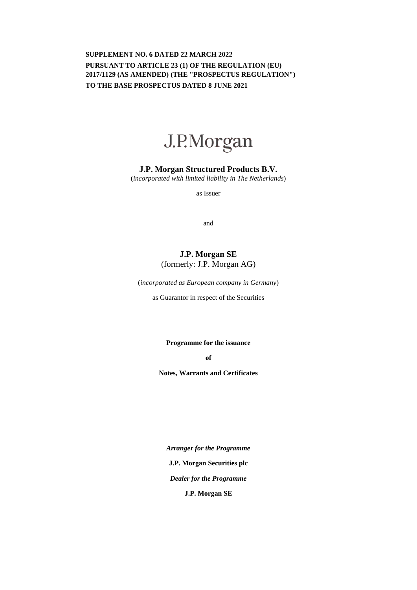# **SUPPLEMENT NO. 6 DATED 22 MARCH 2022 PURSUANT TO ARTICLE 23 (1) OF THE REGULATION (EU) 2017/1129 (AS AMENDED) (THE "PROSPECTUS REGULATION") TO THE BASE PROSPECTUS DATED 8 JUNE 2021**



## **J.P. Morgan Structured Products B.V.**

(*incorporated with limited liability in The Netherlands*)

as Issuer

and

# **J.P. Morgan SE**  (formerly: J.P. Morgan AG)

(*incorporated as European company in Germany*)

as Guarantor in respect of the Securities

**Programme for the issuance** 

**of** 

**Notes, Warrants and Certificates** 

*Arranger for the Programme*  **J.P. Morgan Securities plc** *Dealer for the Programme*  **J.P. Morgan SE**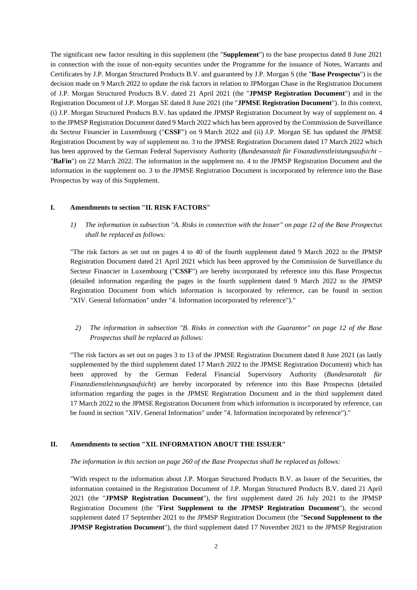The significant new factor resulting in this supplement (the "**Supplement**") to the base prospectus dated 8 June 2021 in connection with the issue of non-equity securities under the Programme for the issuance of Notes, Warrants and Certificates by J.P. Morgan Structured Products B.V. and guaranteed by J.P. Morgan S (the "**Base Prospectus**") is the decision made on 9 March 2022 to update the risk factors in relation to JPMorgan Chase in the Registration Document of J.P. Morgan Structured Products B.V. dated 21 April 2021 (the "**JPMSP Registration Document**") and in the Registration Document of J.P. Morgan SE dated 8 June 2021 (the "**JPMSE Registration Document**"). In this context, (i) J.P. Morgan Structured Products B.V. has updated the JPMSP Registration Document by way of supplement no. 4 to the JPMSP Registration Document dated 9 March 2022 which has been approved by the Commission de Surveillance du Secteur Financier in Luxembourg ("**CSSF**") on 9 March 2022 and (ii) J.P. Morgan SE has updated the JPMSE Registration Document by way of supplement no. 3 to the JPMSE Registration Document dated 17 March 2022 which has been approved by the German Federal Supervisory Authority (*Bundesanstalt für Finanzdienstleistungsaufsicht* – "**BaFin**") on 22 March 2022. The information in the supplement no. 4 to the JPMSP Registration Document and the information in the supplement no. 3 to the JPMSE Registration Document is incorporated by reference into the Base Prospectus by way of this Supplement.

### **I. Amendments to section "II. RISK FACTORS"**

*1) The information in subsection "A. Risks in connection with the Issuer" on page 12 of the Base Prospectus shall be replaced as follows:* 

"The risk factors as set out on pages 4 to 40 of the fourth supplement dated 9 March 2022 to the JPMSP Registration Document dated 21 April 2021 which has been approved by the Commission de Surveillance du Secteur Financier in Luxembourg ("**CSSF**") are hereby incorporated by reference into this Base Prospectus (detailed information regarding the pages in the fourth supplement dated 9 March 2022 to the JPMSP Registration Document from which information is incorporated by reference, can be found in section "XIV. General Information" under "4. Information incorporated by reference")."

*2) The information in subsection "B. Risks in connection with the Guarantor" on page 12 of the Base Prospectus shall be replaced as follows:* 

"The risk factors as set out on pages 3 to 13 of the JPMSE Registration Document dated 8 June 2021 (as lastly supplemented by the third supplement dated 17 March 2022 to the JPMSE Registration Document) which has been approved by the German Federal Financial Supervisory Authority (*Bundesanstalt für Finanzdienstleistungsaufsicht*) are hereby incorporated by reference into this Base Prospectus (detailed information regarding the pages in the JPMSE Registration Document and in the third supplement dated 17 March 2022 to the JPMSE Registration Document from which information is incorporated by reference, can be found in section "XIV. General Information" under "4. Information incorporated by reference")."

### **II. Amendments to section "XII. INFORMATION ABOUT THE ISSUER"**

#### *The information in this section on page 260 of the Base Prospectus shall be replaced as follows:*

"With respect to the information about J.P. Morgan Structured Products B.V. as Issuer of the Securities, the information contained in the Registration Document of J.P. Morgan Structured Products B.V. dated 21 April 2021 (the "**JPMSP Registration Document**"), the first supplement dated 26 July 2021 to the JPMSP Registration Document (the "**First Supplement to the JPMSP Registration Document**"), the second supplement dated 17 September 2021 to the JPMSP Registration Document (the "**Second Supplement to the JPMSP Registration Document**"), the third supplement dated 17 November 2021 to the JPMSP Registration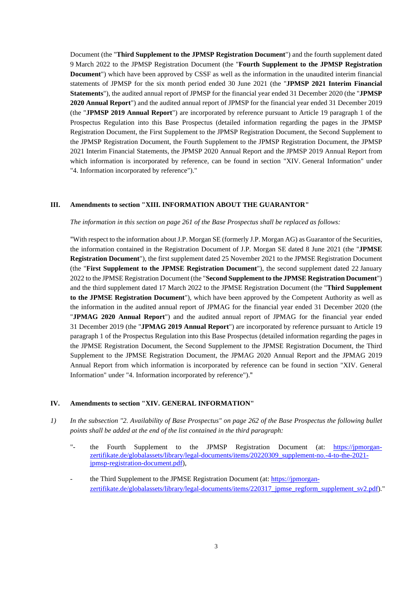Document (the "**Third Supplement to the JPMSP Registration Document**") and the fourth supplement dated 9 March 2022 to the JPMSP Registration Document (the "**Fourth Supplement to the JPMSP Registration Document**") which have been approved by CSSF as well as the information in the unaudited interim financial statements of JPMSP for the six month period ended 30 June 2021 (the "**JPMSP 2021 Interim Financial Statements**"), the audited annual report of JPMSP for the financial year ended 31 December 2020 (the "**JPMSP 2020 Annual Report**") and the audited annual report of JPMSP for the financial year ended 31 December 2019 (the "**JPMSP 2019 Annual Report**") are incorporated by reference pursuant to Article 19 paragraph 1 of the Prospectus Regulation into this Base Prospectus (detailed information regarding the pages in the JPMSP Registration Document, the First Supplement to the JPMSP Registration Document, the Second Supplement to the JPMSP Registration Document, the Fourth Supplement to the JPMSP Registration Document, the JPMSP 2021 Interim Financial Statements, the JPMSP 2020 Annual Report and the JPMSP 2019 Annual Report from which information is incorporated by reference, can be found in section "XIV. General Information" under "4. Information incorporated by reference")."

#### **III. Amendments to section "XIII. INFORMATION ABOUT THE GUARANTOR"**

#### *The information in this section on page 261 of the Base Prospectus shall be replaced as follows:*

"With respect to the information about J.P. Morgan SE (formerly J.P. Morgan AG) as Guarantor of the Securities, the information contained in the Registration Document of J.P. Morgan SE dated 8 June 2021 (the "**JPMSE Registration Document**"), the first supplement dated 25 November 2021 to the JPMSE Registration Document (the "**First Supplement to the JPMSE Registration Document**"), the second supplement dated 22 January 2022 to the JPMSE Registration Document (the "**Second Supplement to the JPMSE Registration Document**") and the third supplement dated 17 March 2022 to the JPMSE Registration Document (the "**Third Supplement to the JPMSE Registration Document**"), which have been approved by the Competent Authority as well as the information in the audited annual report of JPMAG for the financial year ended 31 December 2020 (the "**JPMAG 2020 Annual Report**") and the audited annual report of JPMAG for the financial year ended 31 December 2019 (the "**JPMAG 2019 Annual Report**") are incorporated by reference pursuant to Article 19 paragraph 1 of the Prospectus Regulation into this Base Prospectus (detailed information regarding the pages in the JPMSE Registration Document, the Second Supplement to the JPMSE Registration Document, the Third Supplement to the JPMSE Registration Document, the JPMAG 2020 Annual Report and the JPMAG 2019 Annual Report from which information is incorporated by reference can be found in section "XIV. General Information" under "4. Information incorporated by reference")."

### **IV. Amendments to section "XIV. GENERAL INFORMATION"**

- *1) In the subsection "2. Availability of Base Prospectus" on page 262 of the Base Prospectus the following bullet points shall be added at the end of the list contained in the third paragraph:* 
	- "- the Fourth Supplement to the JPMSP Registration Document (at: [https://jpmorgan](https://jpmorgan-zertifikate.de/globalassets/library/legal-documents/items/20220309_supplement-no.-4-to-the-2021-jpmsp-registration-document.pdf)[zertifikate.de/globalassets/library/legal-documents/items/20220309\\_supplement-no.-4-to-the-2021](https://jpmorgan-zertifikate.de/globalassets/library/legal-documents/items/20220309_supplement-no.-4-to-the-2021-jpmsp-registration-document.pdf) [jpmsp-registration-document.pdf\),](https://jpmorgan-zertifikate.de/globalassets/library/legal-documents/items/20220309_supplement-no.-4-to-the-2021-jpmsp-registration-document.pdf)
	- the Third Supplement to the JPMSE Registration Document (at: [https://jpmorgan](https://jpmorgan-zertifikate.de/globalassets/library/legal-documents/items/220317_jpmse_regform_supplement_sv2.pdf)[zertifikate.de/globalassets/library/legal-documents/items/220317\\_jpmse\\_regform\\_supplement\\_sv2.pdf\)."](https://jpmorgan-zertifikate.de/globalassets/library/legal-documents/items/220317_jpmse_regform_supplement_sv2.pdf)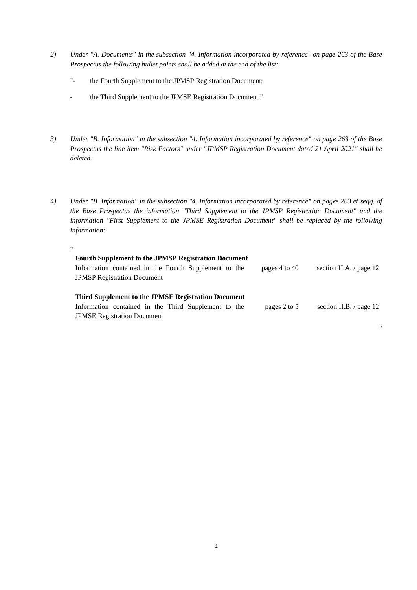- *2) Under "A. Documents" in the subsection "4. Information incorporated by reference" on page 263 of the Base Prospectus the following bullet points shall be added at the end of the list:* 
	- "- the Fourth Supplement to the JPMSP Registration Document;
	- the Third Supplement to the JPMSE Registration Document."

"

- *3) Under "B. Information" in the subsection "4. Information incorporated by reference" on page 263 of the Base Prospectus the line item "Risk Factors" under "JPMSP Registration Document dated 21 April 2021" shall be deleted.*
- *4) Under "B. Information" in the subsection "4. Information incorporated by reference" on pages 263 et seqq. of the Base Prospectus the information "Third Supplement to the JPMSP Registration Document" and the information "First Supplement to the JPMSE Registration Document" shall be replaced by the following information:*

| <b>Fourth Supplement to the JPMSP Registration Document</b> |               |                                |
|-------------------------------------------------------------|---------------|--------------------------------|
| Information contained in the Fourth Supplement to the       | pages 4 to 40 | section II.A. $\prime$ page 12 |
| <b>JPMSP Registration Document</b>                          |               |                                |
|                                                             |               |                                |
| Third Supplement to the JPMSE Registration Document         |               |                                |
| Information contained in the Third Supplement to the        | pages 2 to 5  | section II.B. $\prime$ page 12 |
| <b>JPMSE Registration Document</b>                          |               |                                |

"